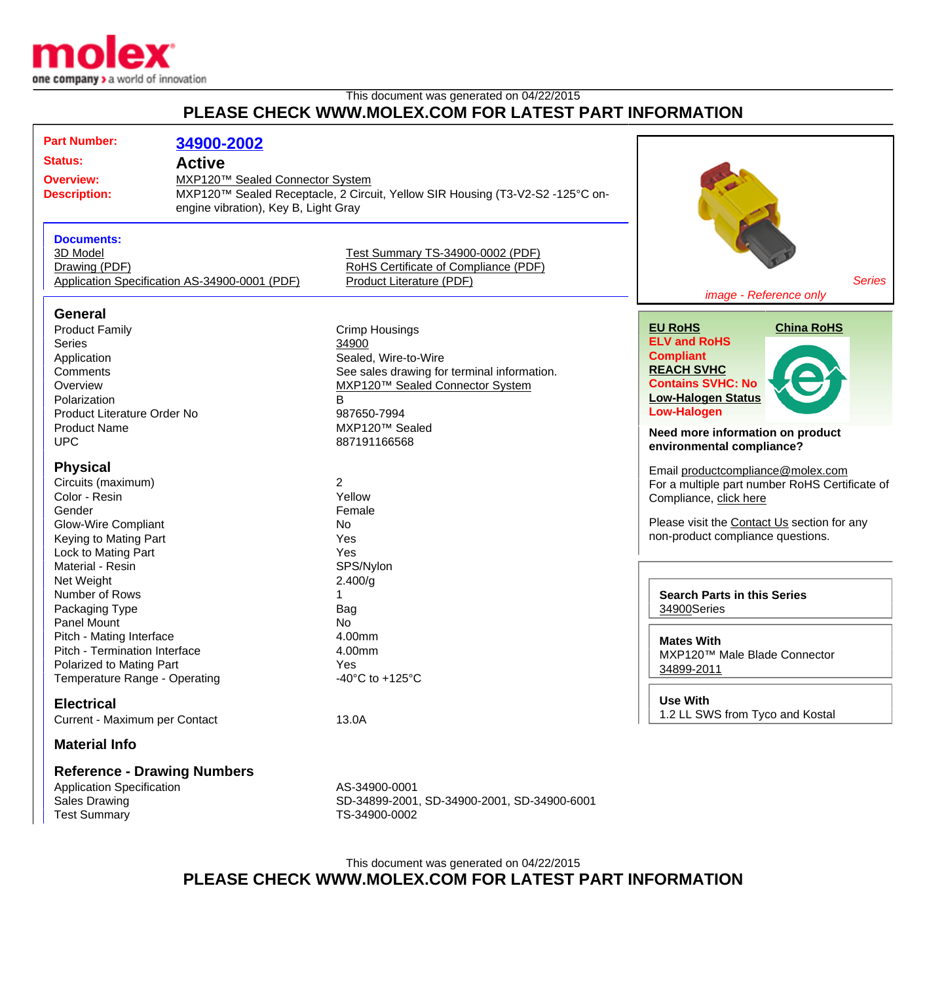

## This document was generated on 04/22/2015 **PLEASE CHECK WWW.MOLEX.COM FOR LATEST PART INFORMATION**

| <b>Part Number:</b><br>34900-2002<br><b>Status:</b><br><b>Active</b><br>MXP120™ Sealed Connector System<br><b>Overview:</b><br><b>Description:</b><br>engine vibration), Key B, Light Gray<br><b>Documents:</b><br>3D Model<br>Drawing (PDF)<br>Application Specification AS-34900-0001 (PDF) |  | MXP120™ Sealed Receptacle, 2 Circuit, Yellow SIR Housing (T3-V2-S2 -125°C on-                                                                                                                  | <b>Series</b><br>image - Reference only                                                                                                                                                                                                             |
|-----------------------------------------------------------------------------------------------------------------------------------------------------------------------------------------------------------------------------------------------------------------------------------------------|--|------------------------------------------------------------------------------------------------------------------------------------------------------------------------------------------------|-----------------------------------------------------------------------------------------------------------------------------------------------------------------------------------------------------------------------------------------------------|
|                                                                                                                                                                                                                                                                                               |  | Test Summary TS-34900-0002 (PDF)<br>RoHS Certificate of Compliance (PDF)<br>Product Literature (PDF)                                                                                           |                                                                                                                                                                                                                                                     |
| <b>General</b><br><b>Product Family</b><br><b>Series</b><br>Application<br>Comments<br>Overview<br>Polarization<br>Product Literature Order No<br><b>Product Name</b><br><b>UPC</b>                                                                                                           |  | <b>Crimp Housings</b><br>34900<br>Sealed, Wire-to-Wire<br>See sales drawing for terminal information.<br>MXP120™ Sealed Connector System<br>B<br>987650-7994<br>MXP120™ Sealed<br>887191166568 | <b>China RoHS</b><br><b>EU RoHS</b><br><b>ELV and RoHS</b><br><b>Compliant</b><br><b>REACH SVHC</b><br><b>Contains SVHC: No</b><br><b>Low-Halogen Status</b><br><b>Low-Halogen</b><br>Need more information on product<br>environmental compliance? |
| <b>Physical</b><br>Circuits (maximum)<br>Color - Resin<br>Gender<br><b>Glow-Wire Compliant</b><br>Keying to Mating Part<br>Lock to Mating Part                                                                                                                                                |  | $\overline{2}$<br>Yellow<br>Female<br>No<br>Yes<br>Yes                                                                                                                                         | Email productcompliance@molex.com<br>For a multiple part number RoHS Certificate of<br>Compliance, click here<br>Please visit the Contact Us section for any<br>non-product compliance questions.                                                   |
| Material - Resin<br>Net Weight<br>Number of Rows<br>Packaging Type<br>Panel Mount                                                                                                                                                                                                             |  | SPS/Nylon<br>2.400/g<br>Bag<br><b>No</b>                                                                                                                                                       | <b>Search Parts in this Series</b><br>34900Series                                                                                                                                                                                                   |
| Pitch - Mating Interface<br>Pitch - Termination Interface<br>Polarized to Mating Part<br>Temperature Range - Operating                                                                                                                                                                        |  | 4.00mm<br>4.00mm<br>Yes.<br>-40 $^{\circ}$ C to +125 $^{\circ}$ C                                                                                                                              | <b>Mates With</b><br>MXP120™ Male Blade Connector<br>34899-2011                                                                                                                                                                                     |
| <b>Electrical</b><br>Current - Maximum per Contact<br><b>Material Info</b>                                                                                                                                                                                                                    |  | 13.0A                                                                                                                                                                                          | <b>Use With</b><br>1.2 LL SWS from Tyco and Kostal                                                                                                                                                                                                  |
| <b>Reference - Drawing Numbers</b><br><b>Application Specification</b><br><b>Sales Drawing</b><br><b>Test Summary</b>                                                                                                                                                                         |  | AS-34900-0001<br>SD-34899-2001, SD-34900-2001, SD-34900-6001<br>TS-34900-0002                                                                                                                  |                                                                                                                                                                                                                                                     |

This document was generated on 04/22/2015 **PLEASE CHECK WWW.MOLEX.COM FOR LATEST PART INFORMATION**